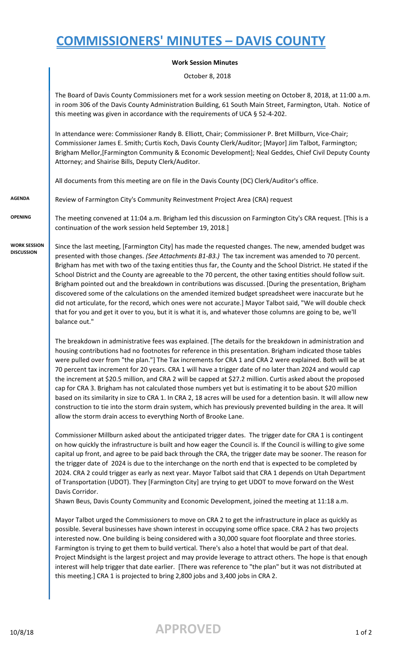## **COMMISSIONERS' MINUTES – DAVIS COUNTY**

## **Work Session Minutes**

October 8, 2018

The Board of Davis County Commissioners met for a work session meeting on October 8, 2018, at 11:00 a.m. in room 306 of the Davis County Administration Building, 61 South Main Street, Farmington, Utah. Notice of this meeting was given in accordance with the requirements of UCA § 52-4-202.

In attendance were: Commissioner Randy B. Elliott, Chair; Commissioner P. Bret Millburn, Vice-Chair; Commissioner James E. Smith; Curtis Koch, Davis County Clerk/Auditor; [Mayor] Jim Talbot, Farmington; Brigham Mellor,[Farmington Community & Economic Development]; Neal Geddes, Chief Civil Deputy County Attorney; and Shairise Bills, Deputy Clerk/Auditor.

All documents from this meeting are on file in the Davis County (DC) Clerk/Auditor's office.

**AGENDA** Review of Farmington City's Community Reinvestment Project Area (CRA) request

**DISCUSSION**

**OPENING** The meeting convened at 11:04 a.m. Brigham led this discussion on Farmington City's CRA request. [This is a continuation of the work session held September 19, 2018.]

**WORK SESSION**  Since the last meeting, [Farmington City] has made the requested changes. The new, amended budget was presented with those changes. *(See Attachments B1-B3.)* The tax increment was amended to 70 percent. Brigham has met with two of the taxing entities thus far, the County and the School District. He stated if the School District and the County are agreeable to the 70 percent, the other taxing entities should follow suit. Brigham pointed out and the breakdown in contributions was discussed. [During the presentation, Brigham discovered some of the calculations on the amended itemized budget spreadsheet were inaccurate but he did not articulate, for the record, which ones were not accurate.] Mayor Talbot said, "We will double check that for you and get it over to you, but it is what it is, and whatever those columns are going to be, we'll balance out."

> The breakdown in administrative fees was explained. [The details for the breakdown in administration and housing contributions had no footnotes for reference in this presentation. Brigham indicated those tables were pulled over from "the plan."] The Tax increments for CRA 1 and CRA 2 were explained. Both will be at 70 percent tax increment for 20 years. CRA 1 will have a trigger date of no later than 2024 and would cap the increment at \$20.5 million, and CRA 2 will be capped at \$27.2 million. Curtis asked about the proposed cap for CRA 3. Brigham has not calculated those numbers yet but is estimating it to be about \$20 million based on its similarity in size to CRA 1. In CRA 2, 18 acres will be used for a detention basin. It will allow new construction to tie into the storm drain system, which has previously prevented building in the area. It will allow the storm drain access to everything North of Brooke Lane.

> Commissioner Millburn asked about the anticipated trigger dates. The trigger date for CRA 1 is contingent on how quickly the infrastructure is built and how eager the Council is. If the Council is willing to give some capital up front, and agree to be paid back through the CRA, the trigger date may be sooner. The reason for the trigger date of 2024 is due to the interchange on the north end that is expected to be completed by 2024. CRA 2 could trigger as early as next year. Mayor Talbot said that CRA 1 depends on Utah Department of Transportation (UDOT). They [Farmington City] are trying to get UDOT to move forward on the West Davis Corridor.

Shawn Beus, Davis County Community and Economic Development, joined the meeting at 11:18 a.m.

Mayor Talbot urged the Commissioners to move on CRA 2 to get the infrastructure in place as quickly as possible. Several businesses have shown interest in occupying some office space. CRA 2 has two projects interested now. One building is being considered with a 30,000 square foot floorplate and three stories. Farmington is trying to get them to build vertical. There's also a hotel that would be part of that deal. Project Mindsight is the largest project and may provide leverage to attract others. The hope is that enough interest will help trigger that date earlier. [There was reference to "the plan" but it was not distributed at this meeting.] CRA 1 is projected to bring 2,800 jobs and 3,400 jobs in CRA 2.